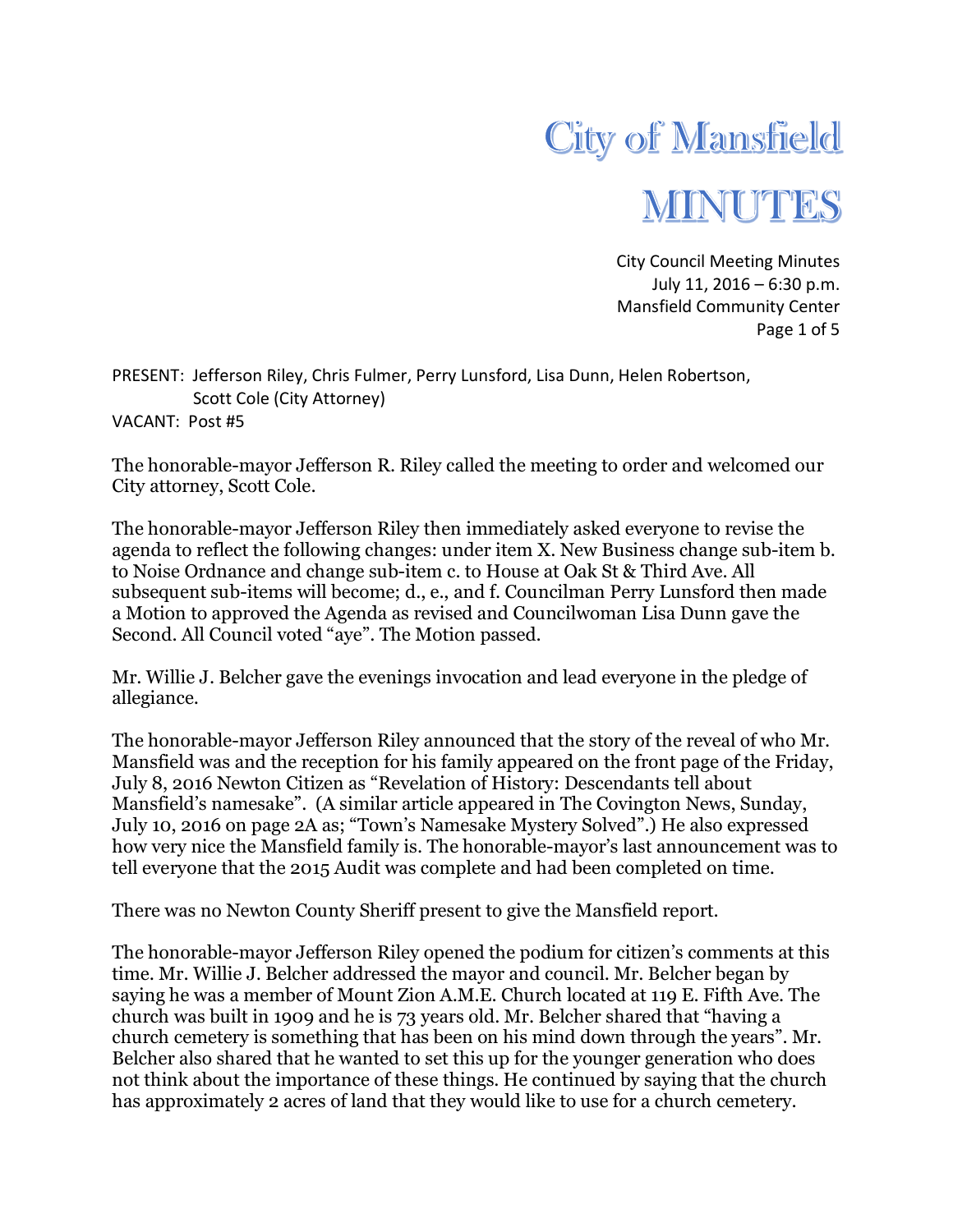

City Council Meeting Minutes July 11, 2016 – 6:30 p.m. Mansfield Community Center Page 1 of 5

PRESENT: Jefferson Riley, Chris Fulmer, Perry Lunsford, Lisa Dunn, Helen Robertson, Scott Cole (City Attorney) VACANT: Post #5

The honorable-mayor Jefferson R. Riley called the meeting to order and welcomed our City attorney, Scott Cole.

The honorable-mayor Jefferson Riley then immediately asked everyone to revise the agenda to reflect the following changes: under item X. New Business change sub-item b. to Noise Ordnance and change sub-item c. to House at Oak St & Third Ave. All subsequent sub-items will become; d., e., and f. Councilman Perry Lunsford then made a Motion to approved the Agenda as revised and Councilwoman Lisa Dunn gave the Second. All Council voted "aye". The Motion passed.

Mr. Willie J. Belcher gave the evenings invocation and lead everyone in the pledge of allegiance.

The honorable-mayor Jefferson Riley announced that the story of the reveal of who Mr. Mansfield was and the reception for his family appeared on the front page of the Friday, July 8, 2016 Newton Citizen as "Revelation of History: Descendants tell about Mansfield's namesake". (A similar article appeared in The Covington News, Sunday, July 10, 2016 on page 2A as; "Town's Namesake Mystery Solved".) He also expressed how very nice the Mansfield family is. The honorable-mayor's last announcement was to tell everyone that the 2015 Audit was complete and had been completed on time.

There was no Newton County Sheriff present to give the Mansfield report.

The honorable-mayor Jefferson Riley opened the podium for citizen's comments at this time. Mr. Willie J. Belcher addressed the mayor and council. Mr. Belcher began by saying he was a member of Mount Zion A.M.E. Church located at 119 E. Fifth Ave. The church was built in 1909 and he is 73 years old. Mr. Belcher shared that "having a church cemetery is something that has been on his mind down through the years". Mr. Belcher also shared that he wanted to set this up for the younger generation who does not think about the importance of these things. He continued by saying that the church has approximately 2 acres of land that they would like to use for a church cemetery.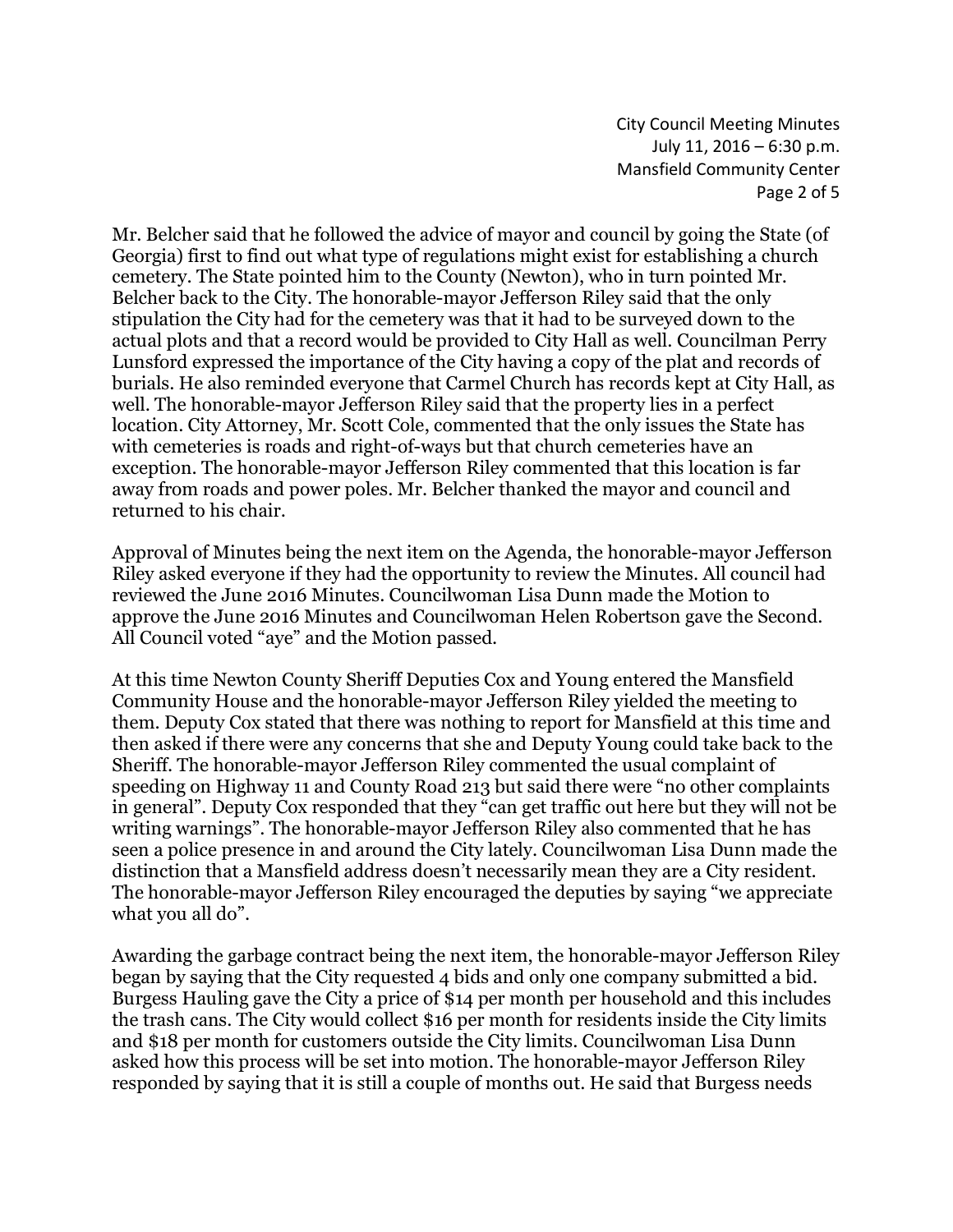City Council Meeting Minutes July 11, 2016 – 6:30 p.m. Mansfield Community Center Page 2 of 5

Mr. Belcher said that he followed the advice of mayor and council by going the State (of Georgia) first to find out what type of regulations might exist for establishing a church cemetery. The State pointed him to the County (Newton), who in turn pointed Mr. Belcher back to the City. The honorable-mayor Jefferson Riley said that the only stipulation the City had for the cemetery was that it had to be surveyed down to the actual plots and that a record would be provided to City Hall as well. Councilman Perry Lunsford expressed the importance of the City having a copy of the plat and records of burials. He also reminded everyone that Carmel Church has records kept at City Hall, as well. The honorable-mayor Jefferson Riley said that the property lies in a perfect location. City Attorney, Mr. Scott Cole, commented that the only issues the State has with cemeteries is roads and right-of-ways but that church cemeteries have an exception. The honorable-mayor Jefferson Riley commented that this location is far away from roads and power poles. Mr. Belcher thanked the mayor and council and returned to his chair.

Approval of Minutes being the next item on the Agenda, the honorable-mayor Jefferson Riley asked everyone if they had the opportunity to review the Minutes. All council had reviewed the June 2016 Minutes. Councilwoman Lisa Dunn made the Motion to approve the June 2016 Minutes and Councilwoman Helen Robertson gave the Second. All Council voted "aye" and the Motion passed.

At this time Newton County Sheriff Deputies Cox and Young entered the Mansfield Community House and the honorable-mayor Jefferson Riley yielded the meeting to them. Deputy Cox stated that there was nothing to report for Mansfield at this time and then asked if there were any concerns that she and Deputy Young could take back to the Sheriff. The honorable-mayor Jefferson Riley commented the usual complaint of speeding on Highway 11 and County Road 213 but said there were "no other complaints in general". Deputy Cox responded that they "can get traffic out here but they will not be writing warnings". The honorable-mayor Jefferson Riley also commented that he has seen a police presence in and around the City lately. Councilwoman Lisa Dunn made the distinction that a Mansfield address doesn't necessarily mean they are a City resident. The honorable-mayor Jefferson Riley encouraged the deputies by saying "we appreciate what you all do".

Awarding the garbage contract being the next item, the honorable-mayor Jefferson Riley began by saying that the City requested 4 bids and only one company submitted a bid. Burgess Hauling gave the City a price of \$14 per month per household and this includes the trash cans. The City would collect \$16 per month for residents inside the City limits and \$18 per month for customers outside the City limits. Councilwoman Lisa Dunn asked how this process will be set into motion. The honorable-mayor Jefferson Riley responded by saying that it is still a couple of months out. He said that Burgess needs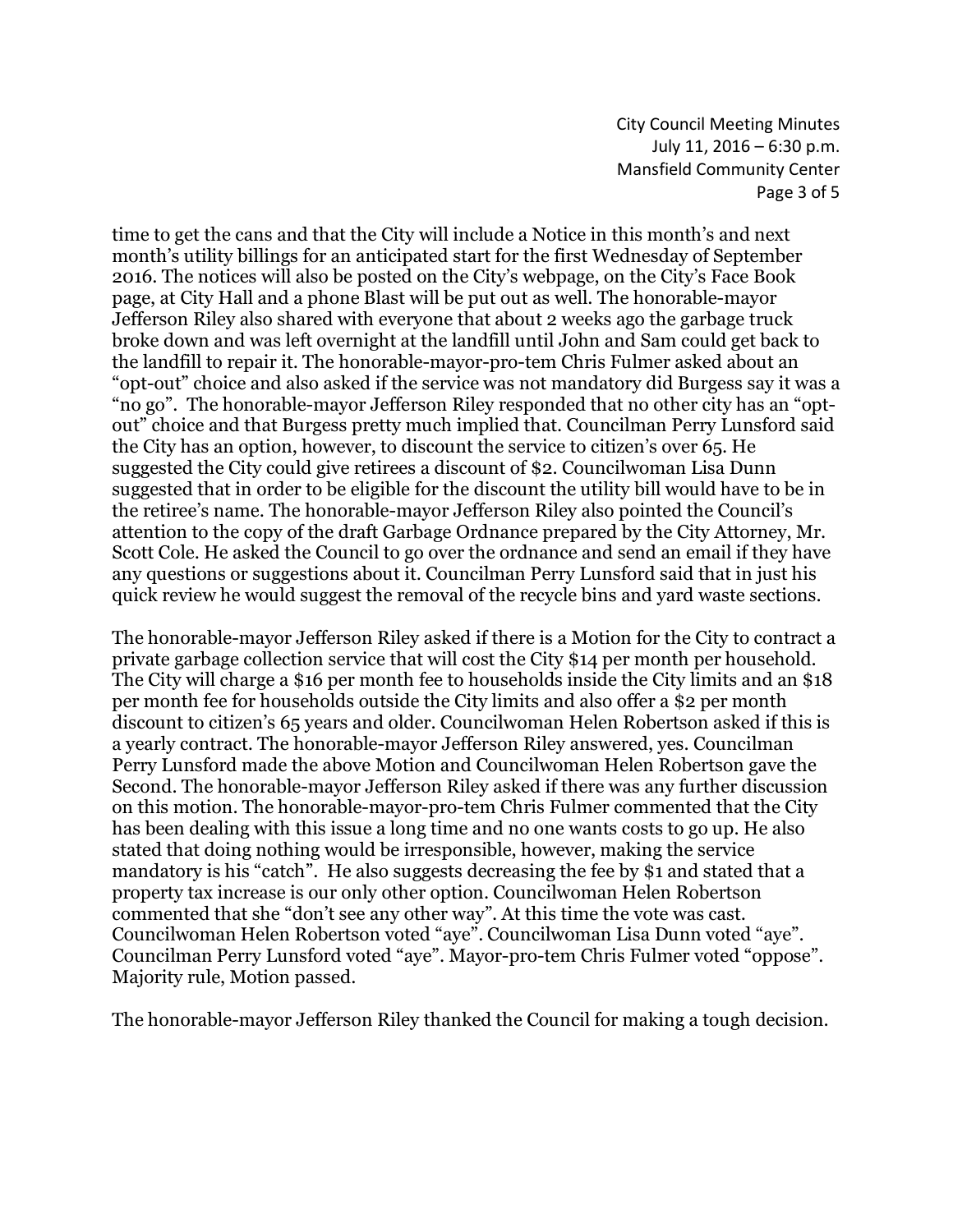City Council Meeting Minutes July 11, 2016 – 6:30 p.m. Mansfield Community Center Page 3 of 5

time to get the cans and that the City will include a Notice in this month's and next month's utility billings for an anticipated start for the first Wednesday of September 2016. The notices will also be posted on the City's webpage, on the City's Face Book page, at City Hall and a phone Blast will be put out as well. The honorable-mayor Jefferson Riley also shared with everyone that about 2 weeks ago the garbage truck broke down and was left overnight at the landfill until John and Sam could get back to the landfill to repair it. The honorable-mayor-pro-tem Chris Fulmer asked about an "opt-out" choice and also asked if the service was not mandatory did Burgess say it was a "no go". The honorable-mayor Jefferson Riley responded that no other city has an "optout" choice and that Burgess pretty much implied that. Councilman Perry Lunsford said the City has an option, however, to discount the service to citizen's over 65. He suggested the City could give retirees a discount of \$2. Councilwoman Lisa Dunn suggested that in order to be eligible for the discount the utility bill would have to be in the retiree's name. The honorable-mayor Jefferson Riley also pointed the Council's attention to the copy of the draft Garbage Ordnance prepared by the City Attorney, Mr. Scott Cole. He asked the Council to go over the ordnance and send an email if they have any questions or suggestions about it. Councilman Perry Lunsford said that in just his quick review he would suggest the removal of the recycle bins and yard waste sections.

The honorable-mayor Jefferson Riley asked if there is a Motion for the City to contract a private garbage collection service that will cost the City \$14 per month per household. The City will charge a \$16 per month fee to households inside the City limits and an \$18 per month fee for households outside the City limits and also offer a \$2 per month discount to citizen's 65 years and older. Councilwoman Helen Robertson asked if this is a yearly contract. The honorable-mayor Jefferson Riley answered, yes. Councilman Perry Lunsford made the above Motion and Councilwoman Helen Robertson gave the Second. The honorable-mayor Jefferson Riley asked if there was any further discussion on this motion. The honorable-mayor-pro-tem Chris Fulmer commented that the City has been dealing with this issue a long time and no one wants costs to go up. He also stated that doing nothing would be irresponsible, however, making the service mandatory is his "catch". He also suggests decreasing the fee by \$1 and stated that a property tax increase is our only other option. Councilwoman Helen Robertson commented that she "don't see any other way". At this time the vote was cast. Councilwoman Helen Robertson voted "aye". Councilwoman Lisa Dunn voted "aye". Councilman Perry Lunsford voted "aye". Mayor-pro-tem Chris Fulmer voted "oppose". Majority rule, Motion passed.

The honorable-mayor Jefferson Riley thanked the Council for making a tough decision.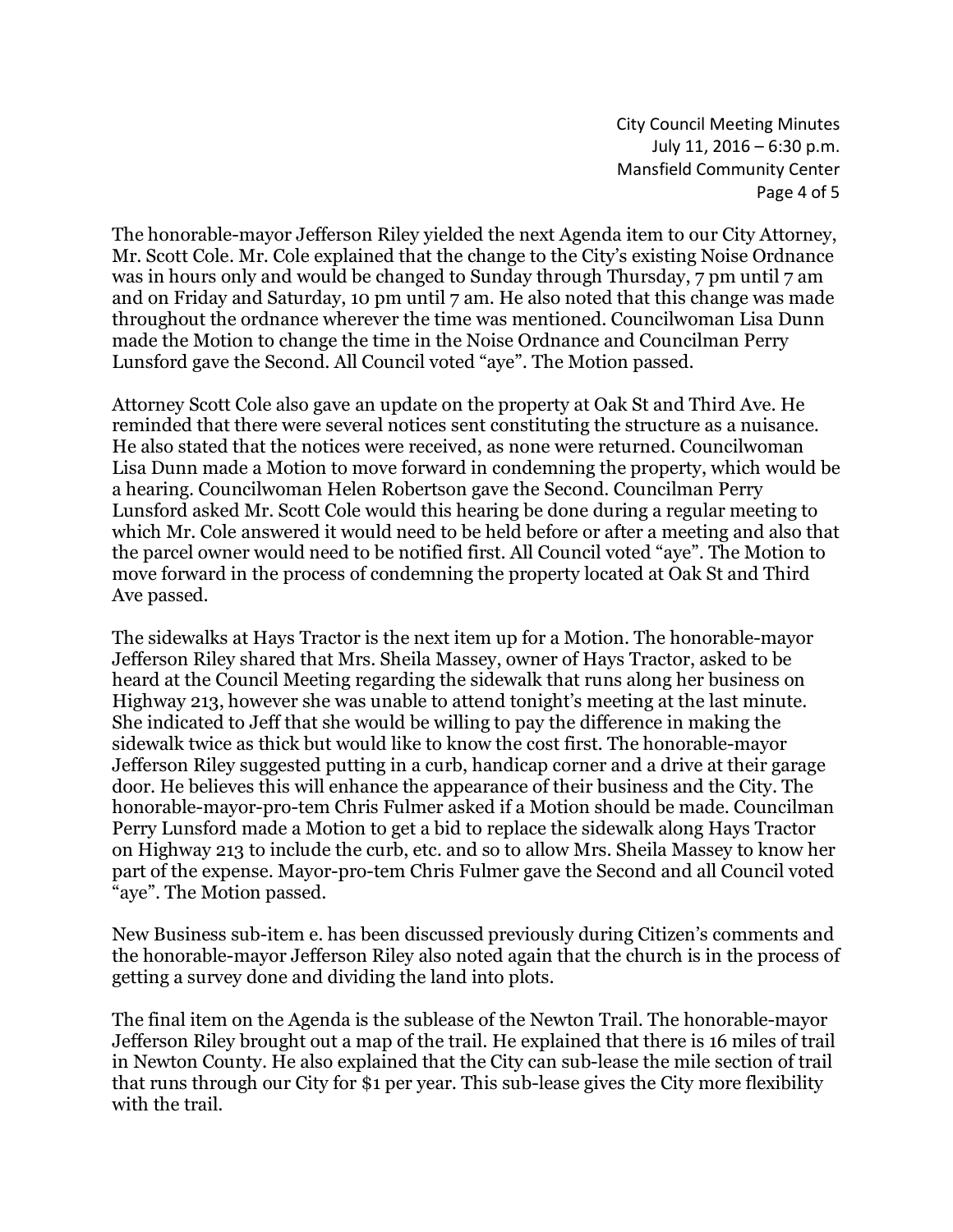City Council Meeting Minutes July 11, 2016 – 6:30 p.m. Mansfield Community Center Page 4 of 5

The honorable-mayor Jefferson Riley yielded the next Agenda item to our City Attorney, Mr. Scott Cole. Mr. Cole explained that the change to the City's existing Noise Ordnance was in hours only and would be changed to Sunday through Thursday, 7 pm until 7 am and on Friday and Saturday, 10 pm until 7 am. He also noted that this change was made throughout the ordnance wherever the time was mentioned. Councilwoman Lisa Dunn made the Motion to change the time in the Noise Ordnance and Councilman Perry Lunsford gave the Second. All Council voted "aye". The Motion passed.

Attorney Scott Cole also gave an update on the property at Oak St and Third Ave. He reminded that there were several notices sent constituting the structure as a nuisance. He also stated that the notices were received, as none were returned. Councilwoman Lisa Dunn made a Motion to move forward in condemning the property, which would be a hearing. Councilwoman Helen Robertson gave the Second. Councilman Perry Lunsford asked Mr. Scott Cole would this hearing be done during a regular meeting to which Mr. Cole answered it would need to be held before or after a meeting and also that the parcel owner would need to be notified first. All Council voted "aye". The Motion to move forward in the process of condemning the property located at Oak St and Third Ave passed.

The sidewalks at Hays Tractor is the next item up for a Motion. The honorable-mayor Jefferson Riley shared that Mrs. Sheila Massey, owner of Hays Tractor, asked to be heard at the Council Meeting regarding the sidewalk that runs along her business on Highway 213, however she was unable to attend tonight's meeting at the last minute. She indicated to Jeff that she would be willing to pay the difference in making the sidewalk twice as thick but would like to know the cost first. The honorable-mayor Jefferson Riley suggested putting in a curb, handicap corner and a drive at their garage door. He believes this will enhance the appearance of their business and the City. The honorable-mayor-pro-tem Chris Fulmer asked if a Motion should be made. Councilman Perry Lunsford made a Motion to get a bid to replace the sidewalk along Hays Tractor on Highway 213 to include the curb, etc. and so to allow Mrs. Sheila Massey to know her part of the expense. Mayor-pro-tem Chris Fulmer gave the Second and all Council voted "aye". The Motion passed.

New Business sub-item e. has been discussed previously during Citizen's comments and the honorable-mayor Jefferson Riley also noted again that the church is in the process of getting a survey done and dividing the land into plots.

The final item on the Agenda is the sublease of the Newton Trail. The honorable-mayor Jefferson Riley brought out a map of the trail. He explained that there is 16 miles of trail in Newton County. He also explained that the City can sub-lease the mile section of trail that runs through our City for \$1 per year. This sub-lease gives the City more flexibility with the trail.